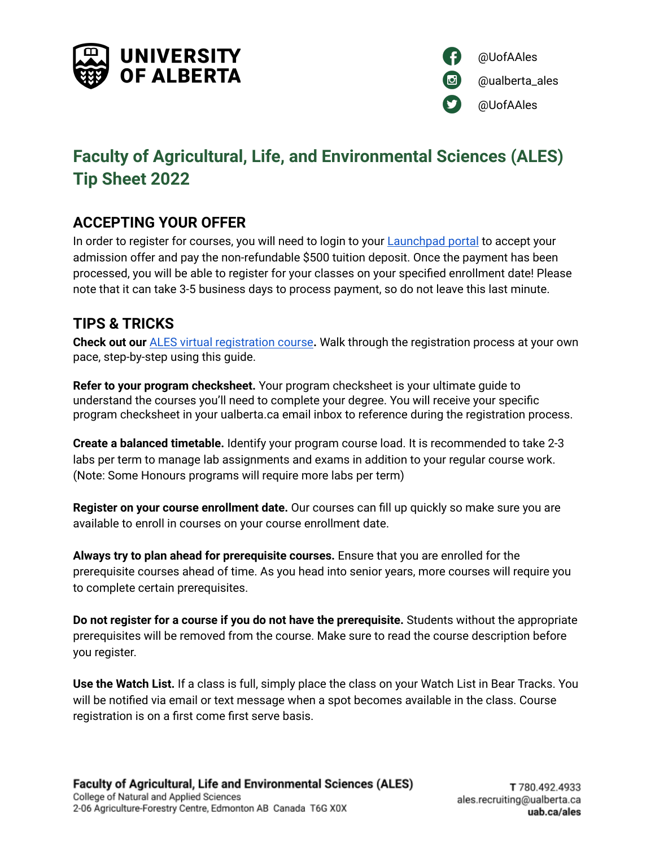



# **Faculty of Agricultural, Life, and Environmental Sciences (ALES) Tip Sheet 2022**

## **ACCEPTING YOUR OFFER**

In order to register for courses, you will need to login to your [Launchpad](https://apply.ualberta.ca/account/login?r=https%3A%2F%2Fapply.ualberta.ca%2Fportal%2Fstatus) portal to accept your admission offer and pay the non-refundable \$500 tuition deposit. Once the payment has been processed, you will be able to register for your classes on your specified enrollment date! Please note that it can take 3-5 business days to process payment, so do not leave this last minute.

### **TIPS & TRICKS**

**Check out our** ALES virtual [registration](https://rise.articulate.com/share/daDnH0xTPwpnFgIkxohZ4wloPIeT9QgZ#/) course**.** Walk through the registration process at your own pace, step-by-step using this guide.

**Refer to your program checksheet.** Your program checksheet is your ultimate guide to understand the courses you'll need to complete your degree. You will receive your specific program checksheet in your ualberta.ca email inbox to reference during the registration process.

**Create a balanced timetable.** Identify your program course load. It is recommended to take 2-3 labs per term to manage lab assignments and exams in addition to your regular course work. (Note: Some Honours programs will require more labs per term)

**Register on your course enrollment date.** Our courses can fill up quickly so make sure you are available to enroll in courses on your course enrollment date.

**Always try to plan ahead for prerequisite courses.** Ensure that you are enrolled for the prerequisite courses ahead of time. As you head into senior years, more courses will require you to complete certain prerequisites.

**Do not register for a course if you do not have the prerequisite.** Students without the appropriate prerequisites will be removed from the course. Make sure to read the course description before you register.

**Use the Watch List.** If a class is full, simply place the class on your Watch List in Bear Tracks. You will be notified via email or text message when a spot becomes available in the class. Course registration is on a first come first serve basis.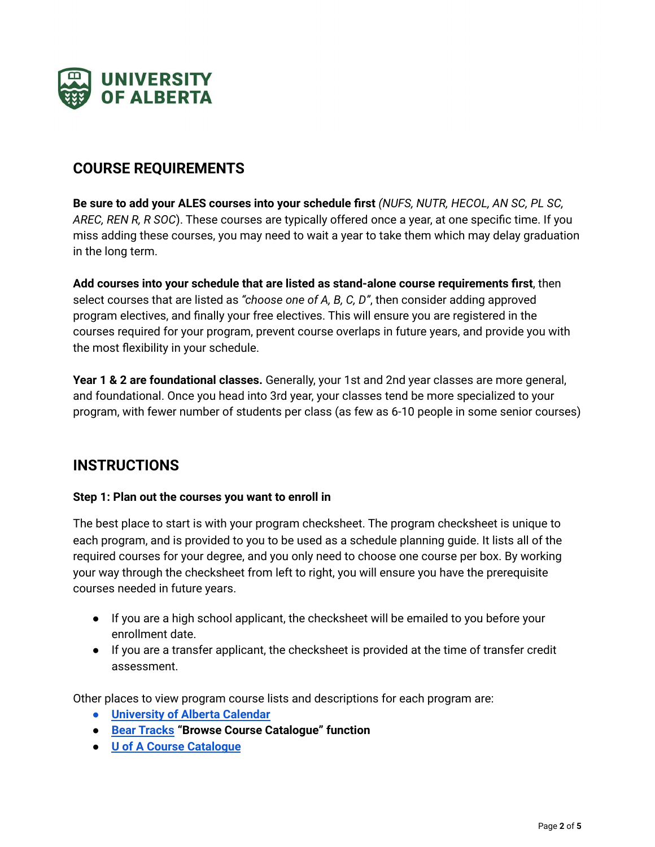

### **COURSE REQUIREMENTS**

**Be sure to add your ALES courses into your schedule first** *(NUFS, NUTR, HECOL, AN SC, PL SC, AREC, REN R, R SOC*). These courses are typically offered once a year, at one specific time. If you miss adding these courses, you may need to wait a year to take them which may delay graduation in the long term.

**Add courses into your schedule that are listed as stand-alone course requirements first**, then select courses that are listed as *"choose one of A, B, C, D"*, then consider adding approved program electives, and finally your free electives. This will ensure you are registered in the courses required for your program, prevent course overlaps in future years, and provide you with the most flexibility in your schedule.

**Year 1 & 2 are foundational classes.** Generally, your 1st and 2nd year classes are more general, and foundational. Once you head into 3rd year, your classes tend be more specialized to your program, with fewer number of students per class (as few as 6-10 people in some senior courses)

### **INSTRUCTIONS**

#### **Step 1: Plan out the courses you want to enroll in**

The best place to start is with your program checksheet. The program checksheet is unique to each program, and is provided to you to be used as a schedule planning guide. It lists all of the required courses for your degree, and you only need to choose one course per box. By working your way through the checksheet from left to right, you will ensure you have the prerequisite courses needed in future years.

- If you are a high school applicant, the checksheet will be emailed to you before your enrollment date.
- If you are a transfer applicant, the checksheet is provided at the time of transfer credit assessment.

Other places to view program course lists and descriptions for each program are:

- **[University](https://calendar.ualberta.ca/content.php?catoid=33&navoid=10013#faculty_of_agricultural_life_and_environmental_sciences) of Alberta Calendar**
- **Bear [Tracks](https://www.beartracks.ualberta.ca/) "Browse Course Catalogue" function**
- **U of A Course [Catalogue](https://apps.ualberta.ca/catalogue/faculty/ah)**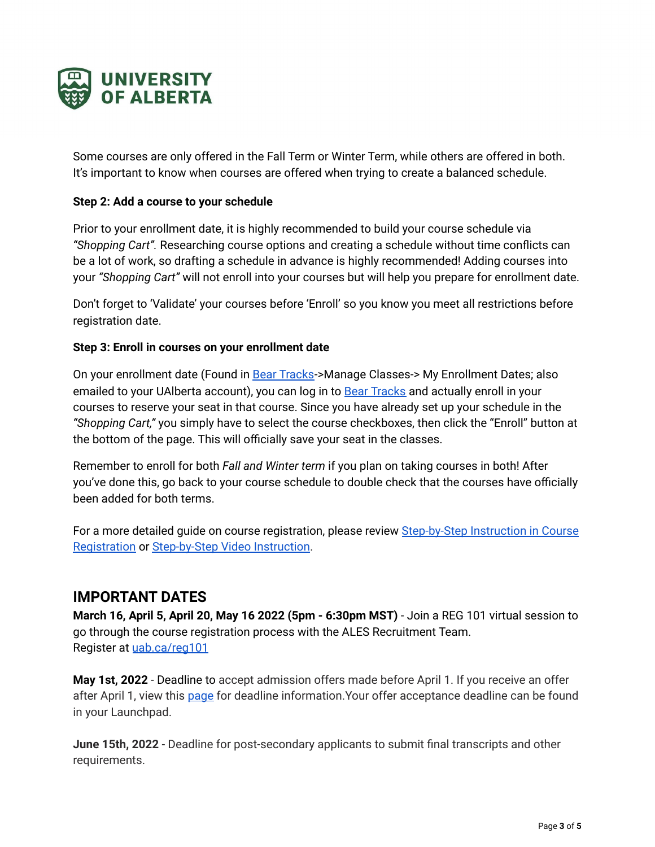

Some courses are only offered in the Fall Term or Winter Term, while others are offered in both. It's important to know when courses are offered when trying to create a balanced schedule.

#### **Step 2: Add a course to your schedule**

Prior to your enrollment date, it is highly recommended to build your course schedule via *"Shopping Cart".* Researching course options and creating a schedule without time conflicts can be a lot of work, so drafting a schedule in advance is highly recommended! Adding courses into your *"Shopping Cart"* will not enroll into your courses but will help you prepare for enrollment date.

Don't forget to 'Validate' your courses before 'Enroll' so you know you meet all restrictions before registration date.

#### **Step 3: Enroll in courses on your enrollment date**

On your enrollment date (Found in Bear [Tracks-](https://www.beartracks.ualberta.ca/)>Manage Classes-> My Enrollment Dates; also emailed to your UAIberta account), you can log in to Bear [Tracks](https://www.beartracks.ualberta.ca/) and actually enroll in your courses to reserve your seat in that course. Since you have already set up your schedule in the *"Shopping Cart,"* you simply have to select the course checkboxes, then click the "Enroll" button at the bottom of the page. This will officially save your seat in the classes.

Remember to enroll for both *Fall and Winter term* if you plan on taking courses in both! After you've done this, go back to your course schedule to double check that the courses have officially been added for both terms.

For a more detailed guide on course registration, please review [Step-by-Step](https://www.ualberta.ca/registrar/registration-and-courses/course-registration.html) Instruction in Course [Registration](https://www.ualberta.ca/registrar/registration-and-courses/course-registration.html) or [Step-by-Step](https://rise.articulate.com/share/daDnH0xTPwpnFgIkxohZ4wloPIeT9QgZ#/lessons/AFj19Nnp07Ob5yOPhGrNoqZZ2SRJri4m) Video Instruction.

### **IMPORTANT DATES**

**March 16, April 5, April 20, May 16 2022 (5pm - 6:30pm MST)** - Join a REG 101 virtual session to go through the course registration process with the ALES Recruitment Team. Register at [uab.ca/reg101](http://uab.ca/reg101)

**May 1st, 2022** - Deadline to accept admission offers made before April 1. If you receive an offer after April 1, view this [page](https://www.ualberta.ca/admissions/undergraduate/admission/after-you-apply/how-to-accept-your-offer/index.html) for deadline information.Your offer acceptance deadline can be found in your Launchpad.

**June 15th, 2022** - Deadline for post-secondary applicants to submit final transcripts and other requirements.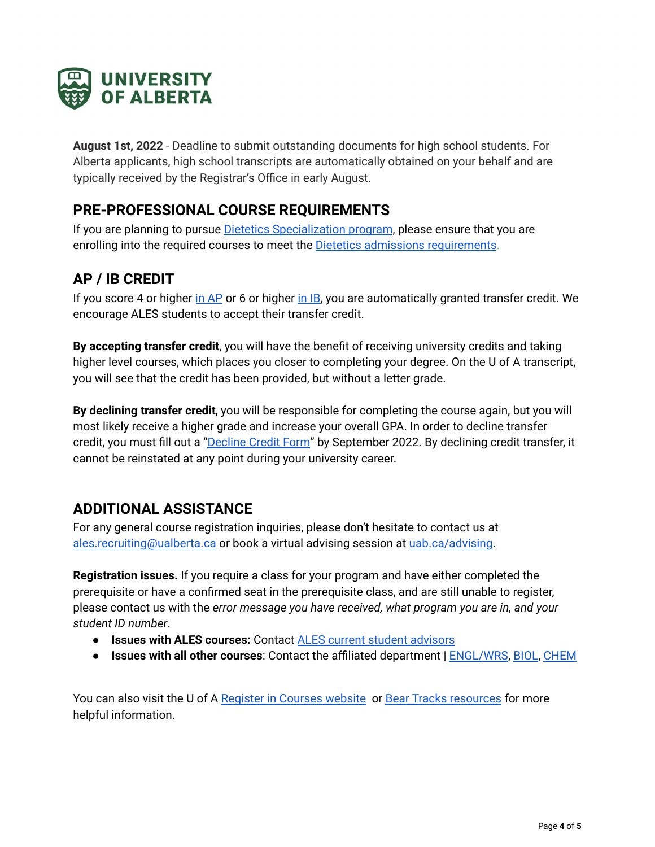

**August 1st, 2022** - Deadline to submit outstanding documents for high school students. For Alberta applicants, high school transcripts are automatically obtained on your behalf and are typically received by the Registrar's Office in early August.

### **PRE-PROFESSIONAL COURSE REQUIREMENTS**

If you are planning to pursue **Dietetics [Specialization](https://www.ualberta.ca/agriculture-life-environment-sciences/programs/undergraduate-programs/degree-programs/nutrition-food-science/dietetics-specialization.html) program**, please ensure that you are enrolling into the required courses to meet the **Dietetics admissions [requirements](https://www.ualberta.ca/agriculture-life-environment-sciences/programs/undergraduate-programs/admissions/dietetics-admission-requirements.html)**.

## **AP / IB CREDIT**

If you score 4 or higher in [AP](https://www.ualberta.ca/admissions/undergraduate/resources/ap-students/index.html?) or 6 or higher in [IB,](https://www.ualberta.ca/admissions/undergraduate/resources/ib-students/index.html?) you are automatically granted transfer credit. We encourage ALES students to accept their transfer credit.

**By accepting transfer credit**, you will have the benefit of receiving university credits and taking higher level courses, which places you closer to completing your degree. On the U of A transcript, you will see that the credit has been provided, but without a letter grade.

**By declining transfer credit**, you will be responsible for completing the course again, but you will most likely receive a higher grade and increase your overall GPA. In order to decline transfer credit, you must fill out a ["Decline](https://www.ualberta.ca/admissions/media-library/ro-assets/forms/decline-transfer-credit.pdf) Credit Form" by September 2022. By declining credit transfer, it cannot be reinstated at any point during your university career.

### **ADDITIONAL ASSISTANCE**

For any general course registration inquiries, please don't hesitate to contact us at [ales.recruiting@ualberta.ca](mailto:ales.recruiting@ualberta.ca) or book a virtual advising session at [uab.ca/advising.](http://uab.ca/advising)

**Registration issues.** If you require a class for your program and have either completed the prerequisite or have a confirmed seat in the prerequisite class, and are still unable to register, please contact us with the *error message you have received, what program you are in, and your student ID number*.

- **Issues with ALES courses:** Contact ALES current student [advisors](https://www.ualberta.ca/agriculture-life-environment-sciences/student-services/index.html)
- **Issues with all other courses**: Contact the affiliated department | [ENGL/WRS](https://www.ualberta.ca/english-film-studies/about-us/contact-us.html), [BIOL](https://www.ualberta.ca/biological-sciences/undergraduate-studies/contact/index.html), [CHEM](https://www.ualberta.ca/chemistry/undergraduate-program/contact.html)

You can also visit the U of A Register in [Courses](https://www.ualberta.ca/admissions/undergraduate/admission/register-in-courses/index.html?) website or Bear Tracks [resources](https://www.ualberta.ca/registrar/registration-and-courses/bear-tracks-resources/index.html) for more helpful information.